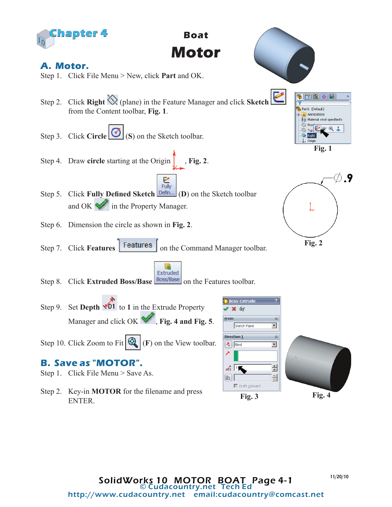

**Boat Motor**

## **A. Motor.**

- Step 1. Click File Menu > New, click **Part** and OK.
- Step 2. Click **Right** (plane) in the Feature Manager and click **Sketch**  from the Content toolbar, **Fig. 1**.
- Step 3. Click **Circle** (**S**) on the Sketch toolbar.
- Step 4. Draw **circle** starting at the Origin , **Fig. 2**.
- $rac{1}{2}$  Fully Step 5. Click Fully Defined Sketch **Defin...** (D) on the Sketch toolbar in the Property Manager. and OK
- Step 6. Dimension the circle as shown in **Fig. 2**.
- Step 7. Click **Features Features** on the Command Manager toolbar.
- Extruded Step 8. Click **Extruded Boss/Base Boss/Base** on the Features toolbar.
- Step 9. Set **Depth**  $\sqrt{D1}$  to 1 in the Extrude Property Manager and click OK  $\blacktriangledown$ , **Fig. 4 and Fig. 5**.
- Step 10. Click Zoom to Fit  $\mathbb{Q}_r$  (F) on the View toolbar.

## **B. Save as "MOTOR".**

- Step 1. Click File Menu > Save As.
- Step 2. Key-in **MOTOR** for the filename and press ENTER.





**Fig. 2**



11/20/10